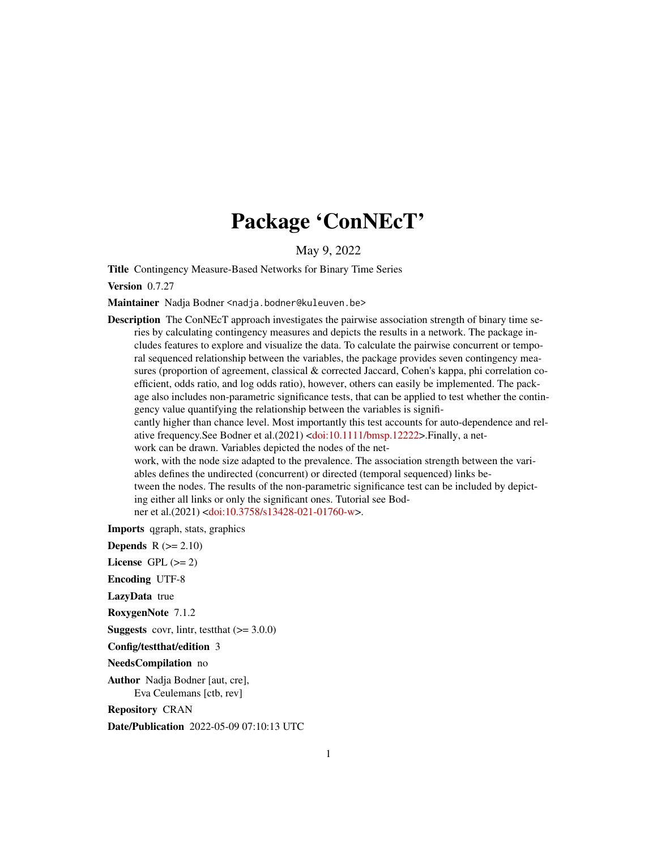# Package 'ConNEcT'

May 9, 2022

Title Contingency Measure-Based Networks for Binary Time Series

Version 0.7.27

Maintainer Nadja Bodner <nadja.bodner@kuleuven.be>

Description The ConNEcT approach investigates the pairwise association strength of binary time series by calculating contingency measures and depicts the results in a network. The package includes features to explore and visualize the data. To calculate the pairwise concurrent or temporal sequenced relationship between the variables, the package provides seven contingency measures (proportion of agreement, classical & corrected Jaccard, Cohen's kappa, phi correlation coefficient, odds ratio, and log odds ratio), however, others can easily be implemented. The package also includes non-parametric significance tests, that can be applied to test whether the contingency value quantifying the relationship between the variables is significantly higher than chance level. Most importantly this test accounts for auto-dependence and relative frequency.See Bodner et al.(2021) [<doi:10.1111/bmsp.12222>](https://doi.org/10.1111/bmsp.12222).Finally, a network can be drawn. Variables depicted the nodes of the network, with the node size adapted to the prevalence. The association strength between the variables defines the undirected (concurrent) or directed (temporal sequenced) links between the nodes. The results of the non-parametric significance test can be included by depicting either all links or only the significant ones. Tutorial see Bod-

ner et al.(2021) [<doi:10.3758/s13428-021-01760-w>](https://doi.org/10.3758/s13428-021-01760-w).

Imports qgraph, stats, graphics

**Depends**  $R (= 2.10)$ 

License GPL  $(>= 2)$ 

Encoding UTF-8

LazyData true

RoxygenNote 7.1.2

**Suggests** covr, lintr, test that  $(>= 3.0.0)$ 

Config/testthat/edition 3

NeedsCompilation no

Author Nadja Bodner [aut, cre], Eva Ceulemans [ctb, rev]

Repository CRAN

Date/Publication 2022-05-09 07:10:13 UTC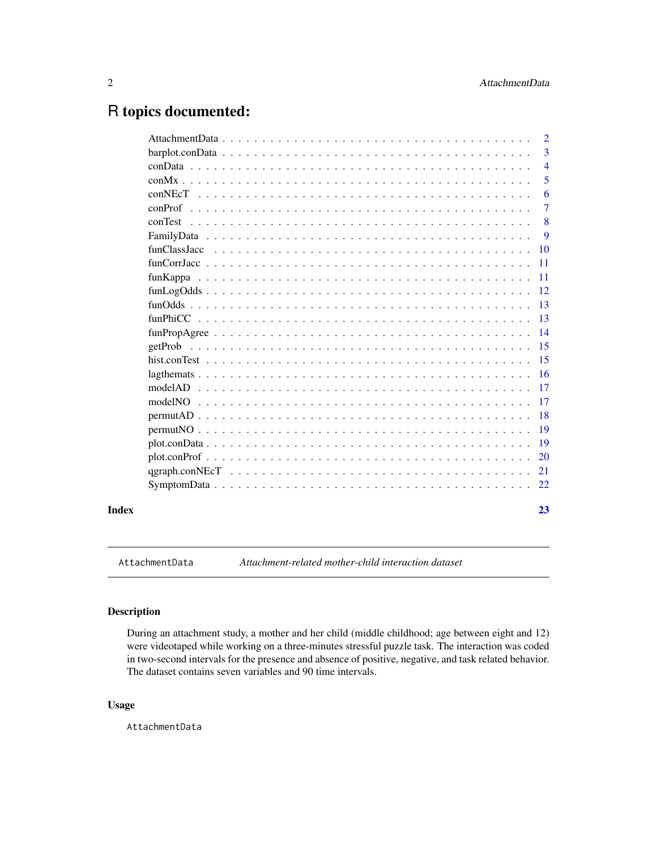# <span id="page-1-0"></span>R topics documented:

| Index |                                                                                                                                                                                                                                                                                                                                                                                                                          | 23             |
|-------|--------------------------------------------------------------------------------------------------------------------------------------------------------------------------------------------------------------------------------------------------------------------------------------------------------------------------------------------------------------------------------------------------------------------------|----------------|
|       |                                                                                                                                                                                                                                                                                                                                                                                                                          | 22             |
|       |                                                                                                                                                                                                                                                                                                                                                                                                                          | 21             |
|       | plot.config                                                                                                                                                                                                                                                                                                                                                                                                              | 20             |
|       |                                                                                                                                                                                                                                                                                                                                                                                                                          | 19             |
|       |                                                                                                                                                                                                                                                                                                                                                                                                                          | 19             |
|       |                                                                                                                                                                                                                                                                                                                                                                                                                          | 18             |
|       |                                                                                                                                                                                                                                                                                                                                                                                                                          | 17             |
|       |                                                                                                                                                                                                                                                                                                                                                                                                                          | 17             |
|       |                                                                                                                                                                                                                                                                                                                                                                                                                          | -16            |
|       |                                                                                                                                                                                                                                                                                                                                                                                                                          | 15             |
|       |                                                                                                                                                                                                                                                                                                                                                                                                                          | 15             |
|       |                                                                                                                                                                                                                                                                                                                                                                                                                          | 14             |
|       |                                                                                                                                                                                                                                                                                                                                                                                                                          | 13             |
|       |                                                                                                                                                                                                                                                                                                                                                                                                                          | 13             |
|       | $funLogOdds \n\t\ldots \n\t\ldots \n\t\ldots \n\t\ldots \n\t\ldots \n\t\ldots \n\t\ldots \n\t\ldots \n\t\ldots \n\t\ldots \n\t\ldots \n\t\ldots \n\t\ldots \n\t\ldots \n\t\ldots \n\t\ldots \n\t\ldots \n\t\ldots \n\t\ldots \n\t\ldots \n\t\ldots \n\t\ldots \n\t\ldots \n\t\ldots \n\t\ldots \n\t\ldots \n\t\ldots \n\t\ldots \n\t\ldots \n\t\ldots \n\t\ldots \n\t\ldots \n\t\ldots \n\t\ldots \n\t\ldots \n\t\ldots$ | 12             |
|       |                                                                                                                                                                                                                                                                                                                                                                                                                          | -11            |
|       |                                                                                                                                                                                                                                                                                                                                                                                                                          | 11             |
|       |                                                                                                                                                                                                                                                                                                                                                                                                                          | 10             |
|       |                                                                                                                                                                                                                                                                                                                                                                                                                          | 9              |
|       |                                                                                                                                                                                                                                                                                                                                                                                                                          | 8              |
|       |                                                                                                                                                                                                                                                                                                                                                                                                                          | 7              |
|       |                                                                                                                                                                                                                                                                                                                                                                                                                          | 6              |
|       |                                                                                                                                                                                                                                                                                                                                                                                                                          | 5              |
|       |                                                                                                                                                                                                                                                                                                                                                                                                                          | $\overline{4}$ |
|       |                                                                                                                                                                                                                                                                                                                                                                                                                          | 3              |
|       |                                                                                                                                                                                                                                                                                                                                                                                                                          | $\overline{2}$ |

AttachmentData *Attachment-related mother-child interaction dataset*

# Description

During an attachment study, a mother and her child (middle childhood; age between eight and 12) were videotaped while working on a three-minutes stressful puzzle task. The interaction was coded in two-second intervals for the presence and absence of positive, negative, and task related behavior. The dataset contains seven variables and 90 time intervals.

#### Usage

AttachmentData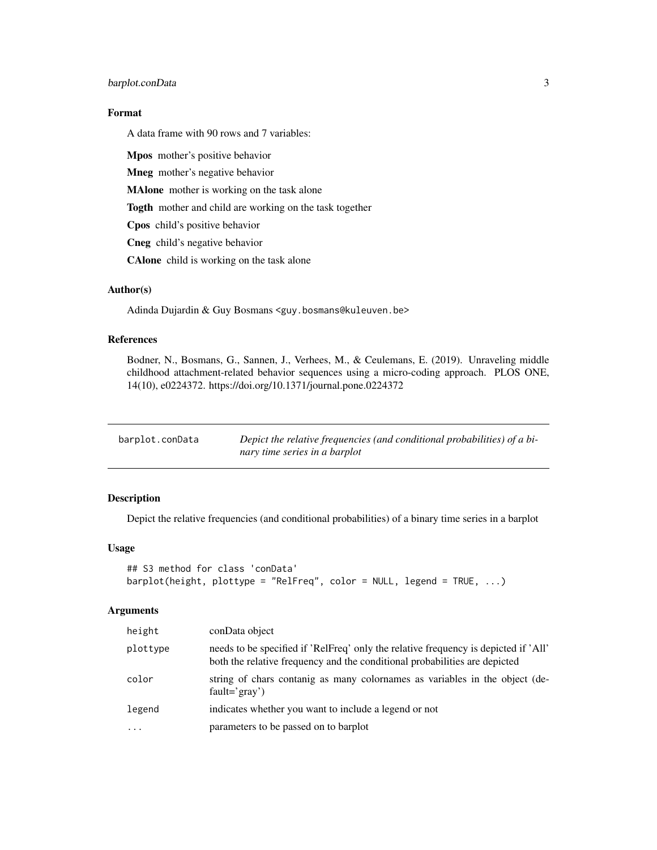# <span id="page-2-0"></span>barplot.conData 3

## Format

A data frame with 90 rows and 7 variables:

Mpos mother's positive behavior

Mneg mother's negative behavior

MAlone mother is working on the task alone

Togth mother and child are working on the task together

Cpos child's positive behavior

Cneg child's negative behavior

CAlone child is working on the task alone

# Author(s)

Adinda Dujardin & Guy Bosmans <guy.bosmans@kuleuven.be>

#### References

Bodner, N., Bosmans, G., Sannen, J., Verhees, M., & Ceulemans, E. (2019). Unraveling middle childhood attachment-related behavior sequences using a micro-coding approach. PLOS ONE, 14(10), e0224372. https://doi.org/10.1371/journal.pone.0224372

| barplot.conData | Depict the relative frequencies (and conditional probabilities) of a bi- |
|-----------------|--------------------------------------------------------------------------|
|                 | nary time series in a barplot                                            |

#### Description

Depict the relative frequencies (and conditional probabilities) of a binary time series in a barplot

# Usage

```
## S3 method for class 'conData'
barplot(height, plottype = "RelFreq", color = NULL, legend = TRUE, ...)
```

| height   | conData object                                                                                                                                                    |
|----------|-------------------------------------------------------------------------------------------------------------------------------------------------------------------|
| plottype | needs to be specified if 'RelFreq' only the relative frequency is depicted if 'All'<br>both the relative frequency and the conditional probabilities are depicted |
| color    | string of chars contanig as many colornames as variables in the object (de-<br>$fault = 'gray')$                                                                  |
| legend   | indicates whether you want to include a legend or not                                                                                                             |
| $\cdots$ | parameters to be passed on to barplot                                                                                                                             |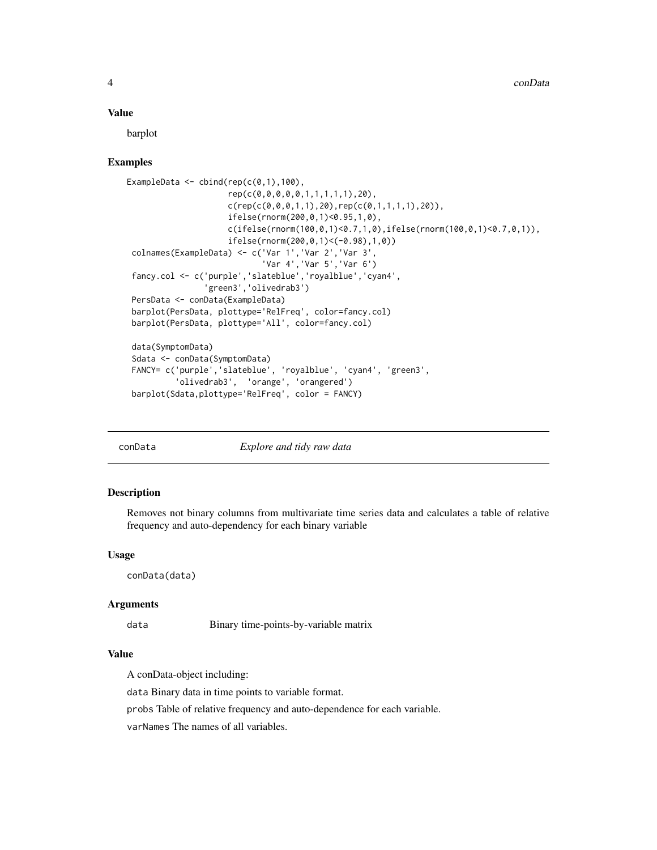<span id="page-3-0"></span>barplot

#### Examples

```
ExampleData \le cbind(rep(c(0,1),100),
                      rep(c(0,0,0,0,0,1,1,1,1,1),20),
                      c(rep(c(\emptyset, \emptyset, \emptyset, 1, 1), 2\emptyset), rep(c(\emptyset, 1, 1, 1, 1), 2\emptyset)),ifelse(rnorm(200,0,1)<0.95,1,0),
                      c(ifelse(rnorm(100,0,1)<0.7,1,0),ifelse(rnorm(100,0,1)<0.7,0,1)),
                      ifelse(rnorm(200,0,1)<(-0.98),1,0))
 colnames(ExampleData) <- c('Var 1','Var 2','Var 3',
                               'Var 4','Var 5','Var 6')
 fancy.col <- c('purple','slateblue','royalblue','cyan4',
                 'green3','olivedrab3')
 PersData <- conData(ExampleData)
 barplot(PersData, plottype='RelFreq', color=fancy.col)
 barplot(PersData, plottype='All', color=fancy.col)
data(SymptomData)
 Sdata <- conData(SymptomData)
 FANCY= c('purple','slateblue', 'royalblue', 'cyan4', 'green3',
           'olivedrab3', 'orange', 'orangered')
 barplot(Sdata,plottype='RelFreq', color = FANCY)
```
conData *Explore and tidy raw data*

#### **Description**

Removes not binary columns from multivariate time series data and calculates a table of relative frequency and auto-dependency for each binary variable

#### Usage

conData(data)

#### **Arguments**

data Binary time-points-by-variable matrix

# Value

A conData-object including:

data Binary data in time points to variable format.

probs Table of relative frequency and auto-dependence for each variable.

varNames The names of all variables.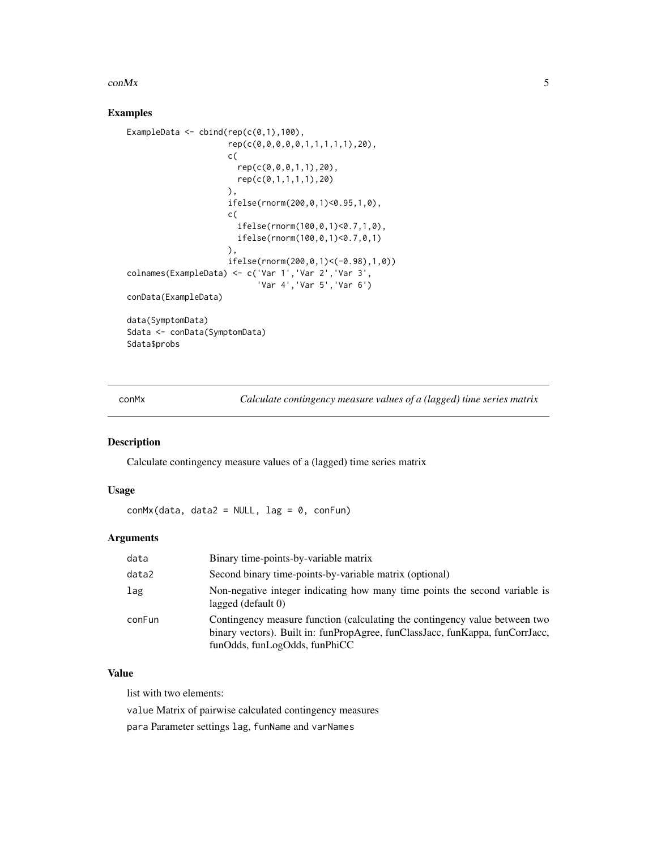#### <span id="page-4-0"></span> $\epsilon$  con $Mx$  5

# Examples

```
ExampleData \le cbind(rep(c(0,1),100),
                     rep(c(0,0,0,0,0,1,1,1,1,1),20),
                     c(
                       rep(c(0,0,0,1,1),20),
                       rep(c(0,1,1,1,1),20)
                     ),
                     ifelse(rnorm(200,0,1)<0.95,1,0),
                     c(
                       ifelse(rnorm(100,0,1)<0.7,1,0),
                       ifelse(rnorm(100,0,1)<0.7,0,1)
                     ),
                     ifelse(rnorm(200,0,1)<(-0.98),1,0))
colnames(ExampleData) <- c('Var 1','Var 2','Var 3',
                           'Var 4','Var 5','Var 6')
conData(ExampleData)
data(SymptomData)
Sdata <- conData(SymptomData)
Sdata$probs
```
conMx *Calculate contingency measure values of a (lagged) time series matrix*

# Description

Calculate contingency measure values of a (lagged) time series matrix

#### Usage

 $conMx(data, data2 = NULL, lag = 0, conFun)$ 

#### Arguments

| data   | Binary time-points-by-variable matrix                                                                                                                                                         |
|--------|-----------------------------------------------------------------------------------------------------------------------------------------------------------------------------------------------|
| data2  | Second binary time-points-by-variable matrix (optional)                                                                                                                                       |
| lag    | Non-negative integer indicating how many time points the second variable is<br>lagged $(\text{default } 0)$                                                                                   |
| conFun | Contingency measure function (calculating the contingency value between two<br>binary vectors). Built in: funPropAgree, funClassJacc, funKappa, funCorrJacc,<br>funOdds, funLogOdds, funPhiCC |

# Value

list with two elements:

value Matrix of pairwise calculated contingency measures

para Parameter settings lag, funName and varNames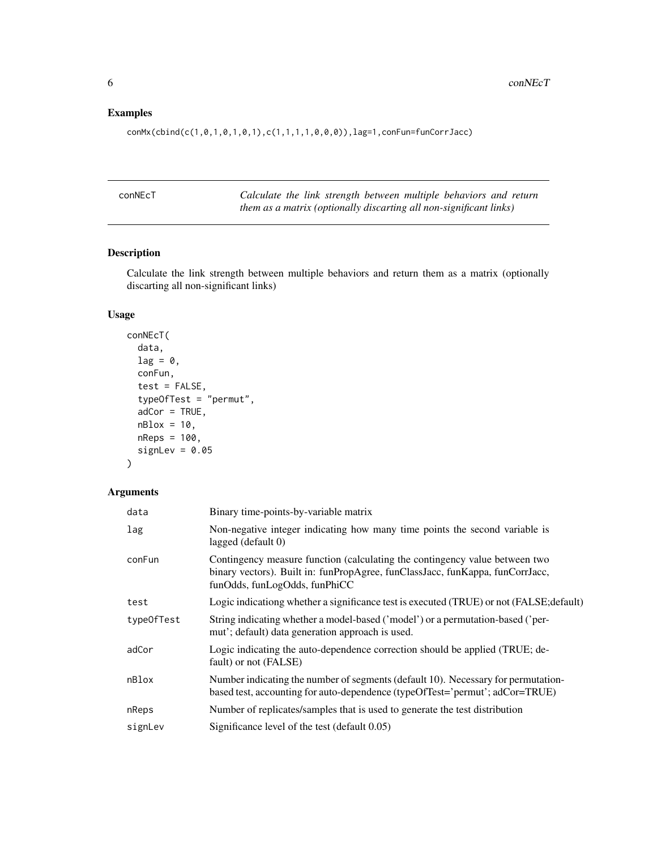# <span id="page-5-0"></span>Examples

conMx(cbind(c(1,0,1,0,1,0,1),c(1,1,1,1,0,0,0)),lag=1,conFun=funCorrJacc)

| conNEcT | Calculate the link strength between multiple behaviors and return  |  |  |  |  |
|---------|--------------------------------------------------------------------|--|--|--|--|
|         | them as a matrix (optionally discarting all non-significant links) |  |  |  |  |

# Description

Calculate the link strength between multiple behaviors and return them as a matrix (optionally discarting all non-significant links)

# Usage

```
conNEcT(
 data,
 lag = 0,
 conFun,
  test = FALSE,
  typeOfTest = "permut",
  adCor = TRUE,nBlox = 10,
 nReps = 100,
  signLev = 0.05)
```

| data       | Binary time-points-by-variable matrix                                                                                                                                                         |
|------------|-----------------------------------------------------------------------------------------------------------------------------------------------------------------------------------------------|
| lag        | Non-negative integer indicating how many time points the second variable is<br>lagged (default 0)                                                                                             |
| conFun     | Contingency measure function (calculating the contingency value between two<br>binary vectors). Built in: funPropAgree, funClassJacc, funKappa, funCorrJacc,<br>funOdds, funLogOdds, funPhiCC |
| test       | Logic indicationg whether a significance test is executed (TRUE) or not (FALSE; default)                                                                                                      |
| type0fTest | String indicating whether a model-based ('model') or a permutation-based ('per-<br>mut'; default) data generation approach is used.                                                           |
| adCor      | Logic indicating the auto-dependence correction should be applied (TRUE; de-<br>fault) or not (FALSE)                                                                                         |
| nBlox      | Number indicating the number of segments (default 10). Necessary for permutation-<br>based test, accounting for auto-dependence (typeOfTest='permut'; adCor=TRUE)                             |
| nReps      | Number of replicates/samples that is used to generate the test distribution                                                                                                                   |
| signLev    | Significance level of the test (default 0.05)                                                                                                                                                 |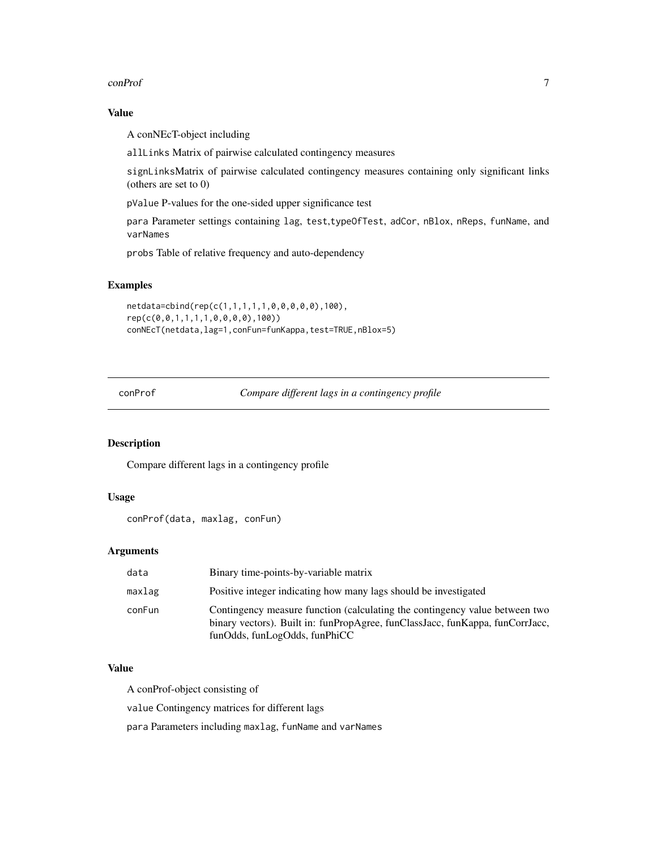#### <span id="page-6-0"></span>conProf 7

#### Value

A conNEcT-object including

allLinks Matrix of pairwise calculated contingency measures

signLinksMatrix of pairwise calculated contingency measures containing only significant links (others are set to 0)

pValue P-values for the one-sided upper significance test

para Parameter settings containing lag, test,typeOfTest, adCor, nBlox, nReps, funName, and varNames

probs Table of relative frequency and auto-dependency

# Examples

```
netdata=cbind(rep(c(1,1,1,1,1,0,0,0,0,0),100),
rep(c(0,0,1,1,1,1,0,0,0,0),100))
conNEcT(netdata,lag=1,conFun=funKappa,test=TRUE,nBlox=5)
```
conProf *Compare different lags in a contingency profile*

# Description

Compare different lags in a contingency profile

#### Usage

```
conProf(data, maxlag, conFun)
```
#### Arguments

| data   | Binary time-points-by-variable matrix                                                                                                                                                         |
|--------|-----------------------------------------------------------------------------------------------------------------------------------------------------------------------------------------------|
| maxlag | Positive integer indicating how many lags should be investigated                                                                                                                              |
| conFun | Contingency measure function (calculating the contingency value between two<br>binary vectors). Built in: funPropAgree, funClassJacc, funKappa, funCorrJacc,<br>funOdds, funLogOdds, funPhiCC |

#### Value

A conProf-object consisting of

value Contingency matrices for different lags

para Parameters including maxlag, funName and varNames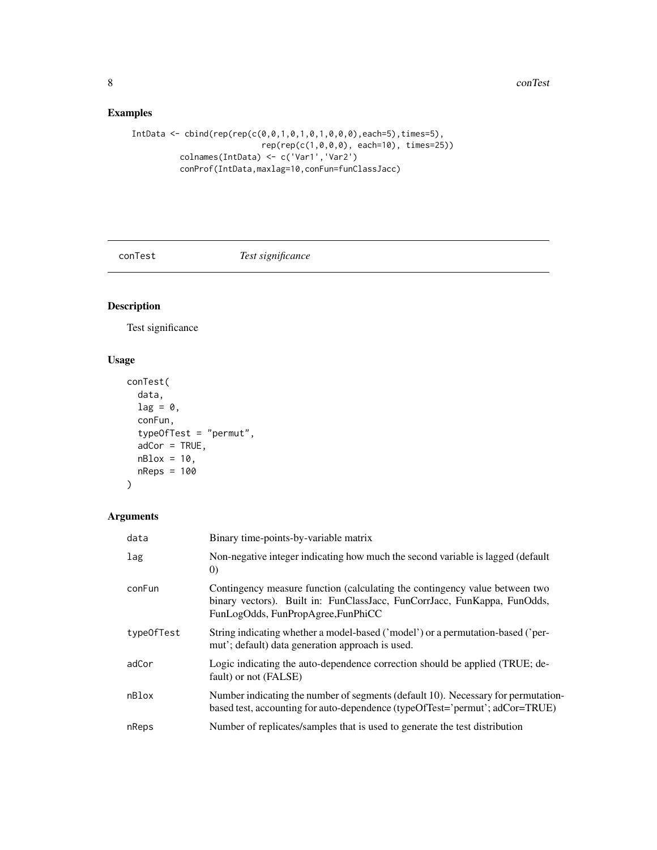# <span id="page-7-0"></span>Examples

```
IntData \leftarrow child(rep(rep(c(0,0,1,0,1,0,1,0,0,0),each=5),time=5),rep(rep(c(1,0,0,0), each=10), times=25))
          colnames(IntData) <- c('Var1','Var2')
          conProf(IntData,maxlag=10,conFun=funClassJacc)
```
conTest *Test significance*

# Description

Test significance

# Usage

```
conTest(
  data,
  lag = 0,
  conFun,
  typeOfTest = "permut",
  adCor = TRUE,nBlock = 10,
  nReps = 100
\mathcal{L}
```

| data       | Binary time-points-by-variable matrix                                                                                                                                                         |
|------------|-----------------------------------------------------------------------------------------------------------------------------------------------------------------------------------------------|
| lag        | Non-negative integer indicating how much the second variable is lagged (default<br>$\left( 0\right)$                                                                                          |
| conFun     | Contingency measure function (calculating the contingency value between two<br>binary vectors). Built in: FunClassJacc, FunCorrJacc, FunKappa, FunOdds,<br>FunLogOdds, FunPropAgree, FunPhiCC |
| typeOfTest | String indicating whether a model-based ('model') or a permutation-based ('per-<br>mut'; default) data generation approach is used.                                                           |
| adCor      | Logic indicating the auto-dependence correction should be applied (TRUE; de-<br>fault) or not (FALSE)                                                                                         |
| nBlox      | Number indicating the number of segments (default 10). Necessary for permutation-<br>based test, accounting for auto-dependence (typeOfTest='permut'; adCor=TRUE)                             |
| nReps      | Number of replicates/samples that is used to generate the test distribution                                                                                                                   |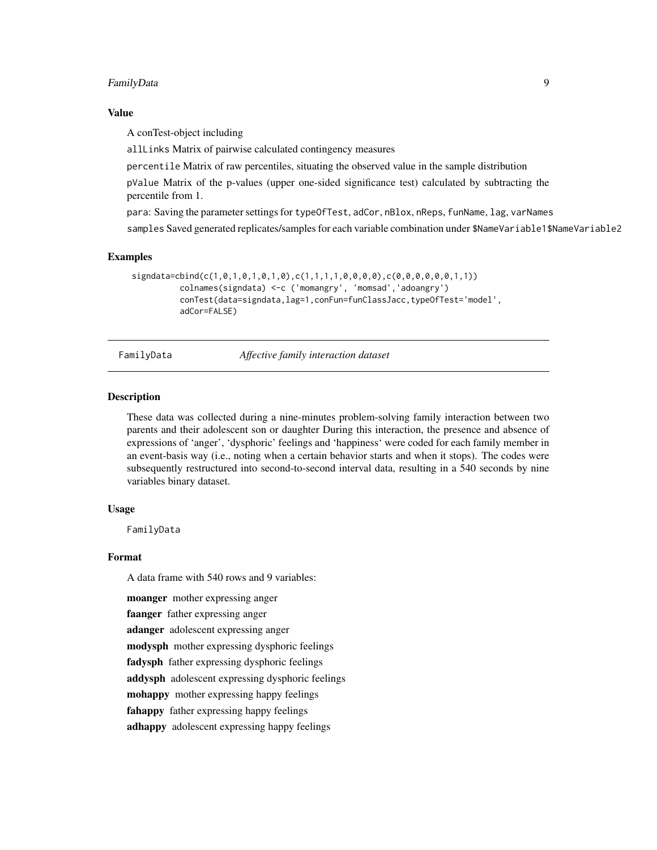#### <span id="page-8-0"></span>FamilyData 9

#### Value

A conTest-object including

allLinks Matrix of pairwise calculated contingency measures

percentile Matrix of raw percentiles, situating the observed value in the sample distribution

pValue Matrix of the p-values (upper one-sided significance test) calculated by subtracting the percentile from 1.

para: Saving the parameter settings for typeOfTest, adCor, nBlox, nReps, funName, lag, varNames

samples Saved generated replicates/samples for each variable combination under \$NameVariable1\$NameVariable2

#### Examples

```
signdata=cbind(c(1,0,1,0,1,0,1,0),c(1,1,1,1,0,0,0,0),c(0,0,0,0,0,0,0,1,1))
          colnames(signdata) <-c ('momangry', 'momsad','adoangry')
          conTest(data=signdata,lag=1,conFun=funClassJacc,typeOfTest='model',
          adCor=FALSE)
```
FamilyData *Affective family interaction dataset*

# Description

These data was collected during a nine-minutes problem-solving family interaction between two parents and their adolescent son or daughter During this interaction, the presence and absence of expressions of 'anger', 'dysphoric' feelings and 'happiness' were coded for each family member in an event-basis way (i.e., noting when a certain behavior starts and when it stops). The codes were subsequently restructured into second-to-second interval data, resulting in a 540 seconds by nine variables binary dataset.

#### Usage

FamilyData

#### Format

A data frame with 540 rows and 9 variables:

moanger mother expressing anger

faanger father expressing anger

adanger adolescent expressing anger

modysph mother expressing dysphoric feelings

fadysph father expressing dysphoric feelings

addysph adolescent expressing dysphoric feelings

mohappy mother expressing happy feelings

fahappy father expressing happy feelings

adhappy adolescent expressing happy feelings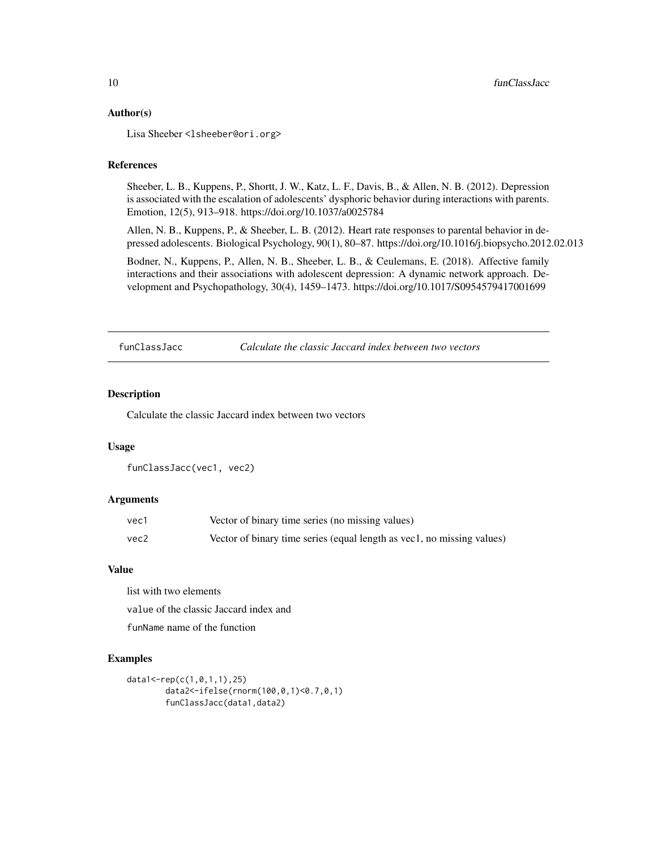#### <span id="page-9-0"></span>Author(s)

Lisa Sheeber <lsheeber@ori.org>

# References

Sheeber, L. B., Kuppens, P., Shortt, J. W., Katz, L. F., Davis, B., & Allen, N. B. (2012). Depression is associated with the escalation of adolescents' dysphoric behavior during interactions with parents. Emotion, 12(5), 913–918. https://doi.org/10.1037/a0025784

Allen, N. B., Kuppens, P., & Sheeber, L. B. (2012). Heart rate responses to parental behavior in depressed adolescents. Biological Psychology, 90(1), 80–87. https://doi.org/10.1016/j.biopsycho.2012.02.013

Bodner, N., Kuppens, P., Allen, N. B., Sheeber, L. B., & Ceulemans, E. (2018). Affective family interactions and their associations with adolescent depression: A dynamic network approach. Development and Psychopathology, 30(4), 1459–1473. https://doi.org/10.1017/S0954579417001699

funClassJacc *Calculate the classic Jaccard index between two vectors*

#### Description

Calculate the classic Jaccard index between two vectors

#### Usage

```
funClassJacc(vec1, vec2)
```
#### Arguments

| vec1 | Vector of binary time series (no missing values)                       |
|------|------------------------------------------------------------------------|
| vec2 | Vector of binary time series (equal length as vec1, no missing values) |

#### Value

list with two elements

value of the classic Jaccard index and

funName name of the function

#### Examples

```
data1<-rep(c(1,0,1,1),25)
       data2<-ifelse(rnorm(100,0,1)<0.7,0,1)
        funClassJacc(data1,data2)
```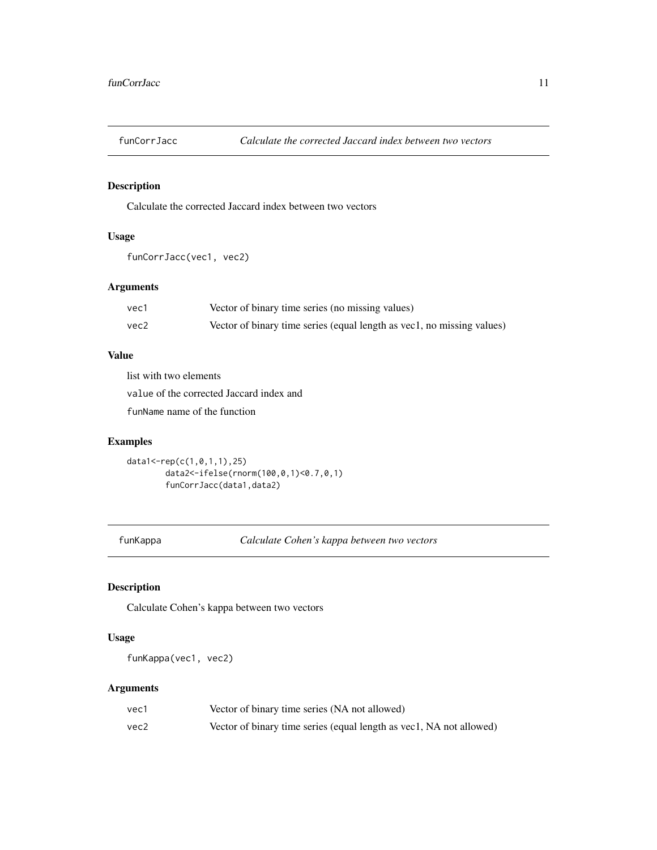<span id="page-10-0"></span>

Calculate the corrected Jaccard index between two vectors

# Usage

```
funCorrJacc(vec1, vec2)
```
# Arguments

| vec1 | Vector of binary time series (no missing values)                       |
|------|------------------------------------------------------------------------|
| vec2 | Vector of binary time series (equal length as vec1, no missing values) |

# Value

list with two elements

value of the corrected Jaccard index and

funName name of the function

# Examples

```
data1<-rep(c(1,0,1,1),25)
       data2<-ifelse(rnorm(100,0,1)<0.7,0,1)
       funCorrJacc(data1,data2)
```
funKappa *Calculate Cohen's kappa between two vectors*

# Description

Calculate Cohen's kappa between two vectors

# Usage

```
funKappa(vec1, vec2)
```

| vec1 | Vector of binary time series (NA not allowed)                       |
|------|---------------------------------------------------------------------|
| vec2 | Vector of binary time series (equal length as vec1, NA not allowed) |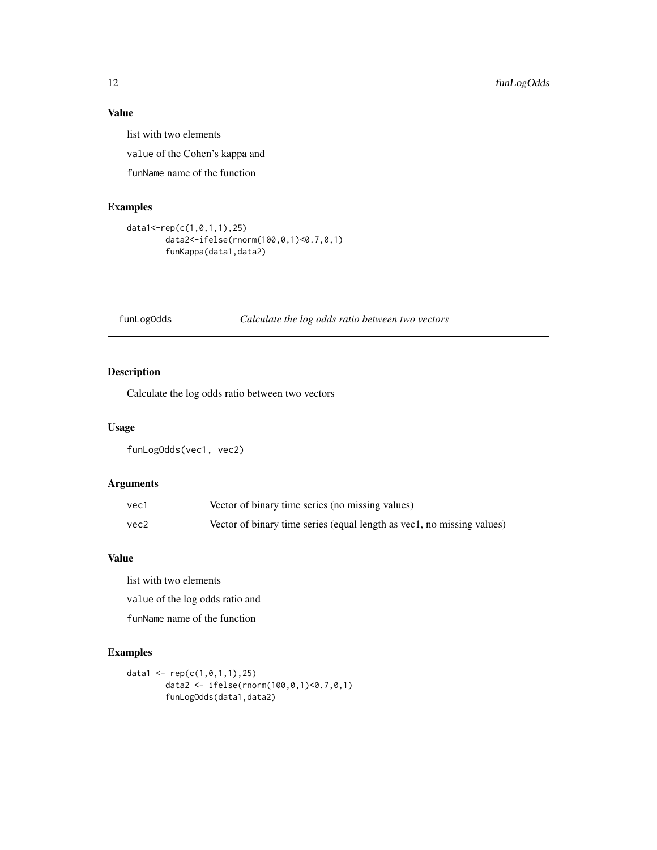<span id="page-11-0"></span>list with two elements

value of the Cohen's kappa and

funName name of the function

# Examples

```
data1<-rep(c(1,0,1,1),25)
        data2<-ifelse(rnorm(100,0,1)<0.7,0,1)
        funKappa(data1,data2)
```
# funLogOdds *Calculate the log odds ratio between two vectors*

# Description

Calculate the log odds ratio between two vectors

#### Usage

```
funLogOdds(vec1, vec2)
```
# Arguments

| vec1 | Vector of binary time series (no missing values)                       |
|------|------------------------------------------------------------------------|
| vec2 | Vector of binary time series (equal length as vec1, no missing values) |

#### Value

list with two elements

value of the log odds ratio and

funName name of the function

# Examples

```
data1 <- rep(c(1, 0, 1, 1), 25)data2 <- ifelse(rnorm(100,0,1)<0.7,0,1)
        funLogOdds(data1,data2)
```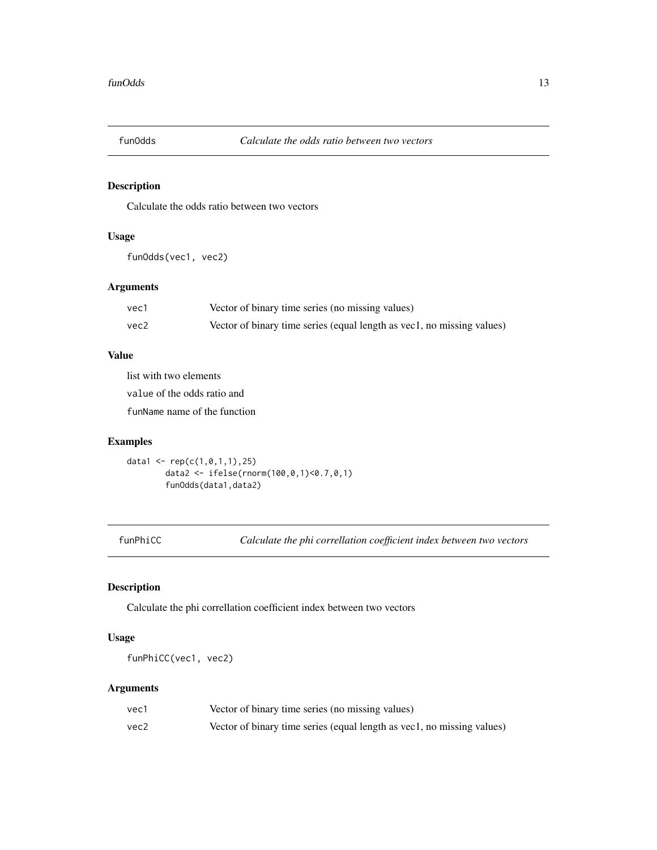<span id="page-12-0"></span>

Calculate the odds ratio between two vectors

# Usage

funOdds(vec1, vec2)

# Arguments

| vec1 | Vector of binary time series (no missing values)                       |
|------|------------------------------------------------------------------------|
| vec2 | Vector of binary time series (equal length as vec1, no missing values) |

# Value

list with two elements

value of the odds ratio and

funName name of the function

# Examples

```
data1 <- rep(c(1, 0, 1, 1), 25)data2 <- ifelse(rnorm(100,0,1)<0.7,0,1)
        funOdds(data1,data2)
```
funPhiCC *Calculate the phi correllation coefficient index between two vectors*

# Description

Calculate the phi correllation coefficient index between two vectors

# Usage

```
funPhiCC(vec1, vec2)
```

| vec1 | Vector of binary time series (no missing values)                       |
|------|------------------------------------------------------------------------|
| vec2 | Vector of binary time series (equal length as vec1, no missing values) |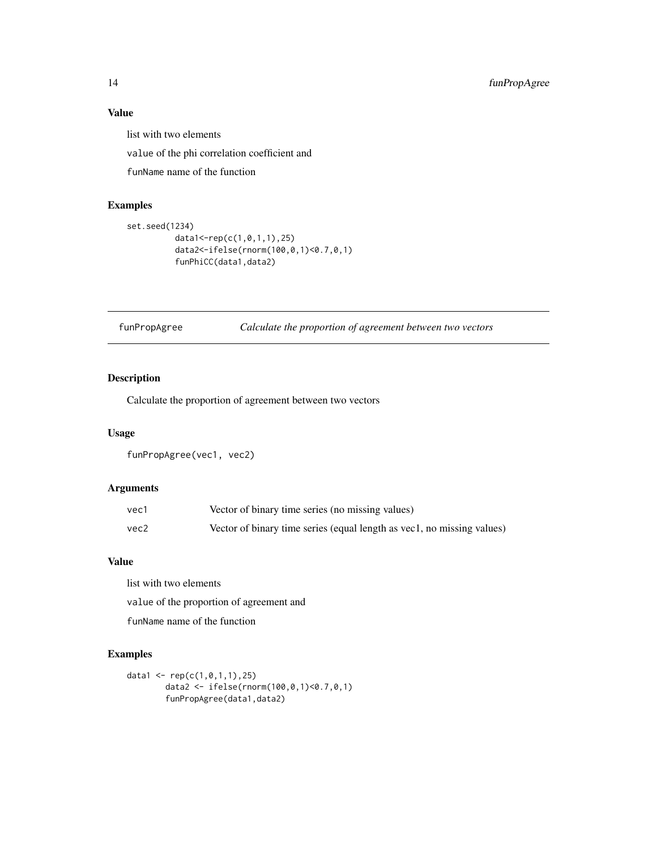list with two elements

value of the phi correlation coefficient and

funName name of the function

# Examples

```
set.seed(1234)
         data1<-rep(c(1,0,1,1),25)
         data2<-ifelse(rnorm(100,0,1)<0.7,0,1)
         funPhiCC(data1,data2)
```
funPropAgree *Calculate the proportion of agreement between two vectors*

# Description

Calculate the proportion of agreement between two vectors

#### Usage

```
funPropAgree(vec1, vec2)
```
# Arguments

| vec1 | Vector of binary time series (no missing values)                       |
|------|------------------------------------------------------------------------|
| vec2 | Vector of binary time series (equal length as vec1, no missing values) |

# Value

list with two elements

value of the proportion of agreement and

funName name of the function

# Examples

```
data1 <- rep(c(1,0,1,1),25)
       data2 <- ifelse(rnorm(100,0,1)<0.7,0,1)
       funPropAgree(data1,data2)
```
<span id="page-13-0"></span>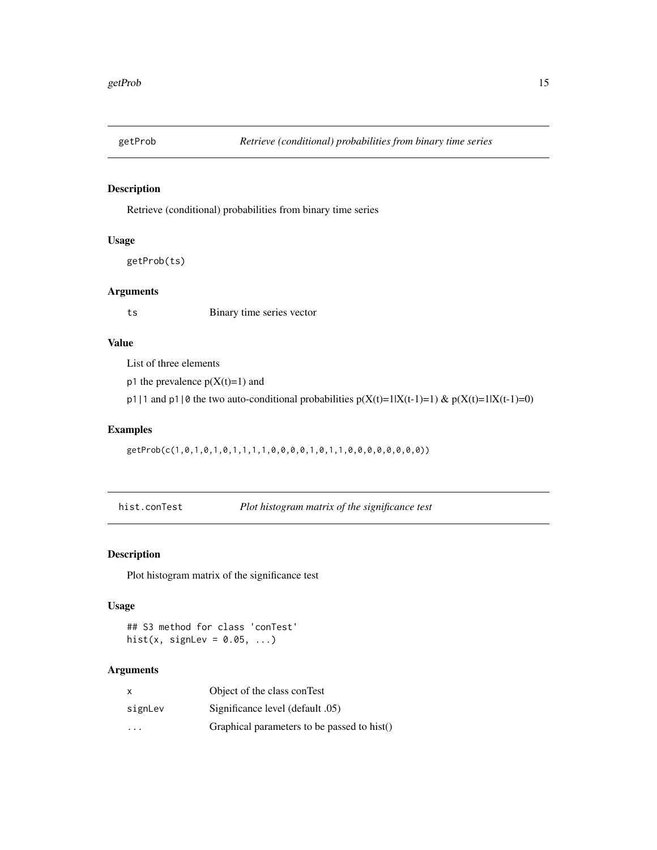<span id="page-14-0"></span>

Retrieve (conditional) probabilities from binary time series

#### Usage

getProb(ts)

# Arguments

ts Binary time series vector

# Value

List of three elements

p1 the prevalence  $p(X(t)=1)$  and

p1|1 and p1|0 the two auto-conditional probabilities  $p(X(t)=1|X(t-1)=1)$  &  $p(X(t)=1|X(t-1)=0)$ 

# Examples

getProb(c(1,0,1,0,1,0,1,1,1,1,0,0,0,0,1,0,1,1,0,0,0,0,0,0,0,0))

hist.conTest *Plot histogram matrix of the significance test*

# Description

Plot histogram matrix of the significance test

#### Usage

## S3 method for class 'conTest' hist(x, signLev =  $0.05, ...$ )

| $\times$ | Object of the class conTest                 |
|----------|---------------------------------------------|
| signLev  | (65) Significance level (default 05)        |
| .        | Graphical parameters to be passed to hist() |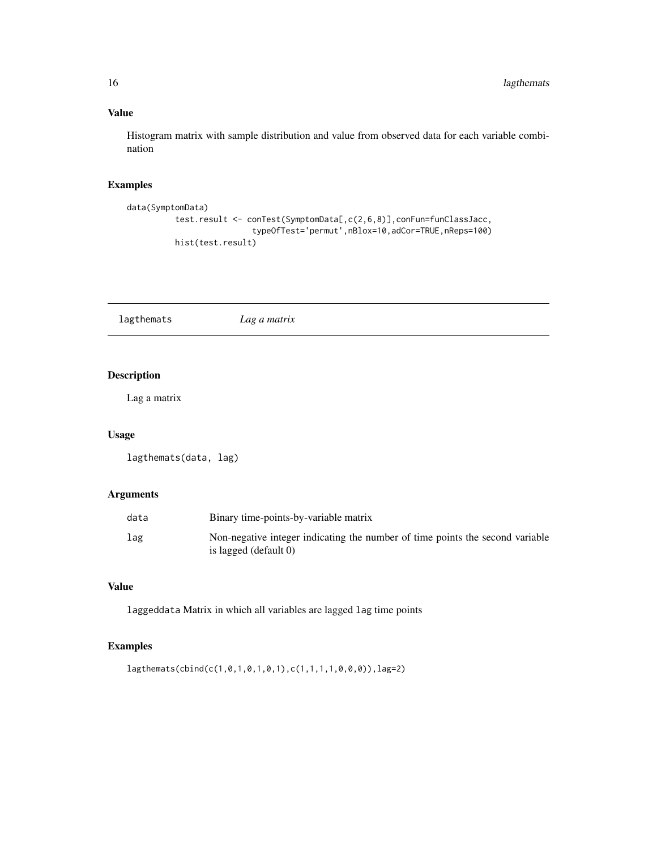Histogram matrix with sample distribution and value from observed data for each variable combination

# Examples

```
data(SymptomData)
          test.result <- conTest(SymptomData[,c(2,6,8)],conFun=funClassJacc,
                          typeOfTest='permut',nBlox=10,adCor=TRUE,nReps=100)
         hist(test.result)
```
lagthemats *Lag a matrix*

# Description

Lag a matrix

# Usage

```
lagthemats(data, lag)
```
#### Arguments

| data | Binary time-points-by-variable matrix                                                                  |
|------|--------------------------------------------------------------------------------------------------------|
| lag  | Non-negative integer indicating the number of time points the second variable<br>is lagged (default 0) |

#### Value

laggeddata Matrix in which all variables are lagged lag time points

# Examples

lagthemats(cbind(c(1,0,1,0,1,0,1),c(1,1,1,1,0,0,0)),lag=2)

<span id="page-15-0"></span>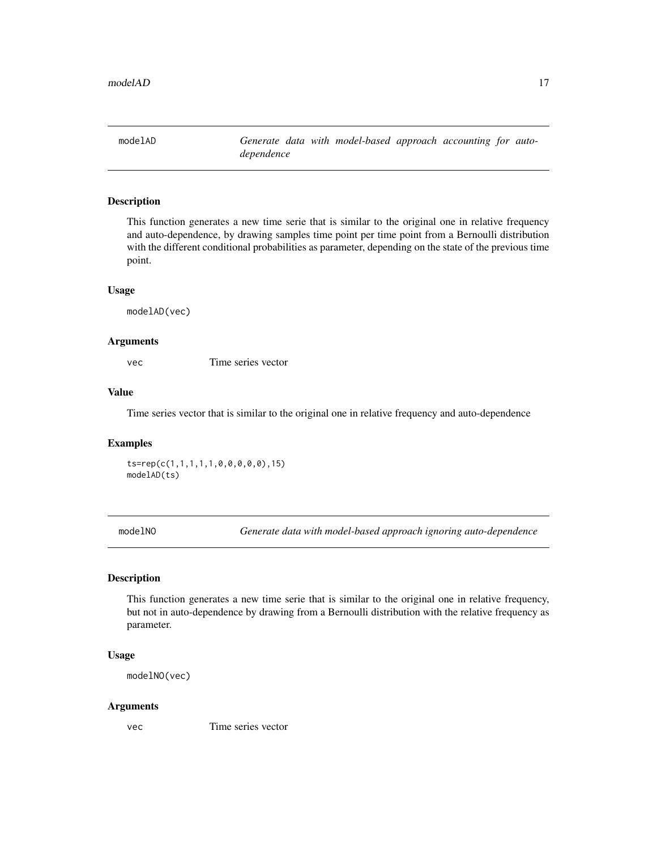<span id="page-16-0"></span>modelAD *Generate data with model-based approach accounting for autodependence*

# Description

This function generates a new time serie that is similar to the original one in relative frequency and auto-dependence, by drawing samples time point per time point from a Bernoulli distribution with the different conditional probabilities as parameter, depending on the state of the previous time point.

#### Usage

modelAD(vec)

# Arguments

vec Time series vector

#### Value

Time series vector that is similar to the original one in relative frequency and auto-dependence

#### Examples

ts=rep(c(1,1,1,1,1,0,0,0,0,0),15) modelAD(ts)

modelNO *Generate data with model-based approach ignoring auto-dependence*

# Description

This function generates a new time serie that is similar to the original one in relative frequency, but not in auto-dependence by drawing from a Bernoulli distribution with the relative frequency as parameter.

#### Usage

modelNO(vec)

#### Arguments

vec Time series vector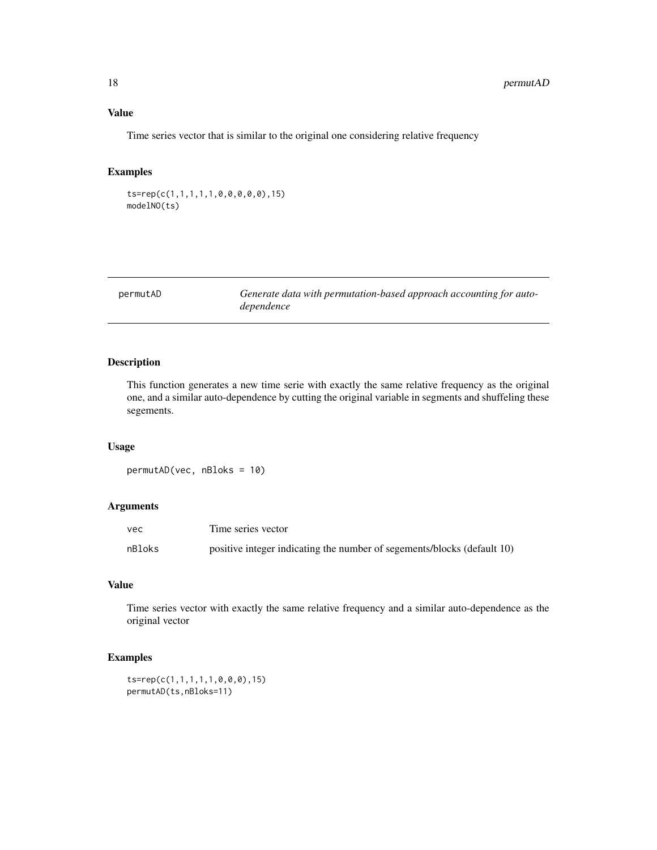<span id="page-17-0"></span>Time series vector that is similar to the original one considering relative frequency

### Examples

ts=rep(c(1,1,1,1,1,0,0,0,0,0),15) modelNO(ts)

permutAD *Generate data with permutation-based approach accounting for autodependence*

#### Description

This function generates a new time serie with exactly the same relative frequency as the original one, and a similar auto-dependence by cutting the original variable in segments and shuffeling these segements.

#### Usage

permutAD(vec, nBloks = 10)

# Arguments

| vec    | Time series vector                                                      |
|--------|-------------------------------------------------------------------------|
| nBloks | positive integer indicating the number of segements/blocks (default 10) |

# Value

Time series vector with exactly the same relative frequency and a similar auto-dependence as the original vector

#### Examples

ts=rep(c(1,1,1,1,1,0,0,0),15) permutAD(ts,nBloks=11)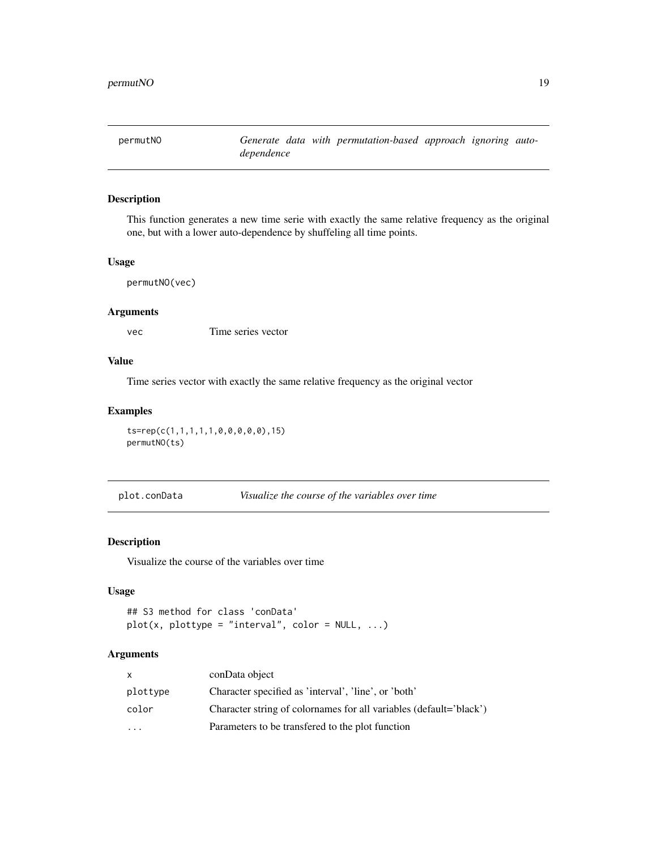<span id="page-18-0"></span>

This function generates a new time serie with exactly the same relative frequency as the original one, but with a lower auto-dependence by shuffeling all time points.

#### Usage

```
permutNO(vec)
```
#### Arguments

vec Time series vector

# Value

Time series vector with exactly the same relative frequency as the original vector

#### Examples

```
ts=rep(c(1,1,1,1,1,0,0,0,0,0),15)
permutNO(ts)
```
plot.conData *Visualize the course of the variables over time*

#### Description

Visualize the course of the variables over time

#### Usage

```
## S3 method for class 'conData'
plot(x, plottype = "interval", color = NULL, ...)
```

| x         | conData object                                                     |
|-----------|--------------------------------------------------------------------|
| plottype  | Character specified as 'interval', 'line', or 'both'               |
| color     | Character string of colornames for all variables (default='black') |
| $\ddotsc$ | Parameters to be transfered to the plot function                   |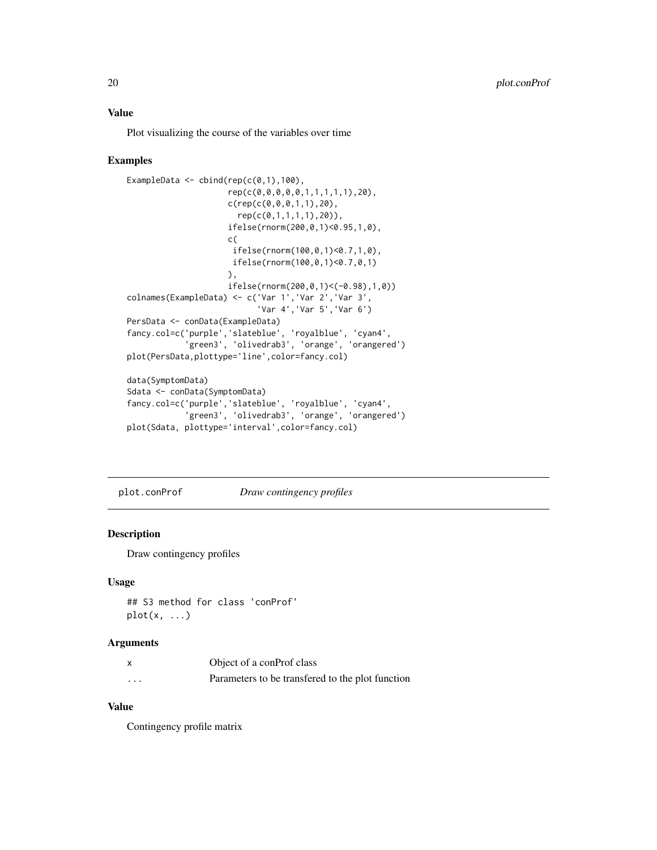<span id="page-19-0"></span>Plot visualizing the course of the variables over time

#### Examples

```
ExampleData \le cbind(rep(c(0,1),100),
                     rep(c(0,0,0,0,0,1,1,1,1,1),20),
                     c(rep(c(0,0,0,1,1),20),
                       rep(c(0,1,1,1,1),20)),
                     ifelse(rnorm(200,0,1)<0.95,1,0),
                     c(
                      ifelse(rnorm(100,0,1)<0.7,1,0),
                     ifelse(rnorm(100,0,1)<0.7,0,1)
                     ),
                     ifelse(rnorm(200,0,1)<(-0.98),1,0))
colnames(ExampleData) <- c('Var 1','Var 2','Var 3',
                           'Var 4','Var 5','Var 6')
PersData <- conData(ExampleData)
fancy.col=c('purple','slateblue', 'royalblue', 'cyan4',
            'green3', 'olivedrab3', 'orange', 'orangered')
plot(PersData,plottype='line',color=fancy.col)
data(SymptomData)
Sdata <- conData(SymptomData)
fancy.col=c('purple','slateblue', 'royalblue', 'cyan4',
            'green3', 'olivedrab3', 'orange', 'orangered')
plot(Sdata, plottype='interval',color=fancy.col)
```
plot.conProf *Draw contingency profiles*

#### Description

Draw contingency profiles

#### Usage

```
## S3 method for class 'conProf'
plot(x, \ldots)
```
#### Arguments

| $\boldsymbol{\mathsf{x}}$ | Object of a conProf class                        |
|---------------------------|--------------------------------------------------|
| $\cdots$                  | Parameters to be transfered to the plot function |

# Value

Contingency profile matrix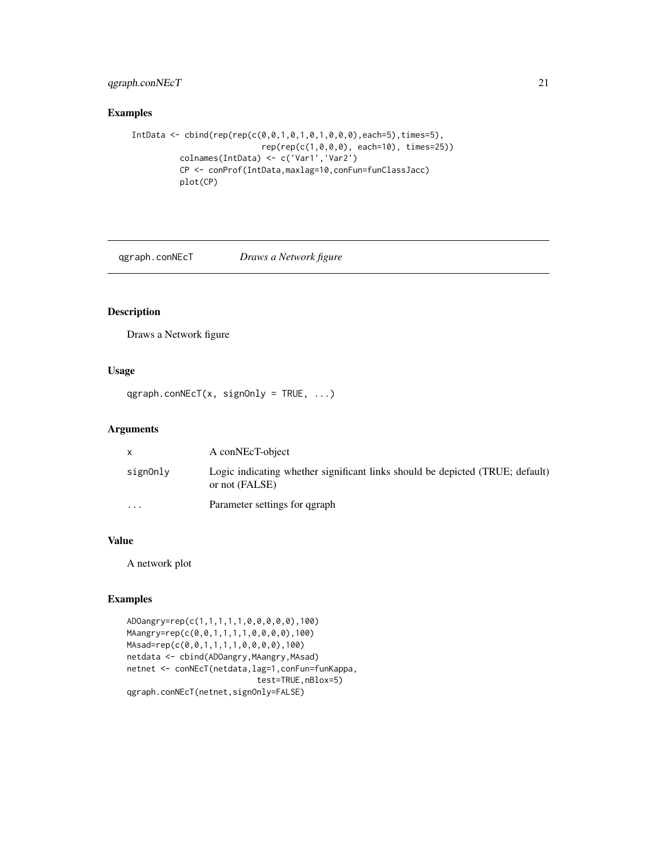# <span id="page-20-0"></span>qgraph.conNEcT 21

# Examples

```
IntData <- cbind(rep(rep(c(0,0,1,0,1,0,1,0,0,0),each=5),times=5),
                           rep(rep(c(1,0,0,0), each=10), times=25))
          colnames(IntData) <- c('Var1','Var2')
          CP <- conProf(IntData,maxlag=10,conFun=funClassJacc)
          plot(CP)
```
qgraph.conNEcT *Draws a Network figure*

# Description

Draws a Network figure

#### Usage

```
qgraph.conNEcT(x, signOnly = TRUE, ...)
```
#### Arguments

|          | A conNEcT-object                                                                                |
|----------|-------------------------------------------------------------------------------------------------|
| signOnly | Logic indicating whether significant links should be depicted (TRUE; default)<br>or not (FALSE) |
| $\cdots$ | Parameter settings for garaph                                                                   |

#### Value

A network plot

# Examples

```
ADOangry=rep(c(1,1,1,1,1,0,0,0,0,0),100)
MAangry=rep(c(0,0,1,1,1,1,0,0,0,0),100)
MAsad=rep(c(0,0,1,1,1,1,0,0,0,0),100)
netdata <- cbind(ADOangry,MAangry,MAsad)
netnet <- conNEcT(netdata,lag=1,conFun=funKappa,
                           test=TRUE,nBlox=5)
qgraph.conNEcT(netnet,signOnly=FALSE)
```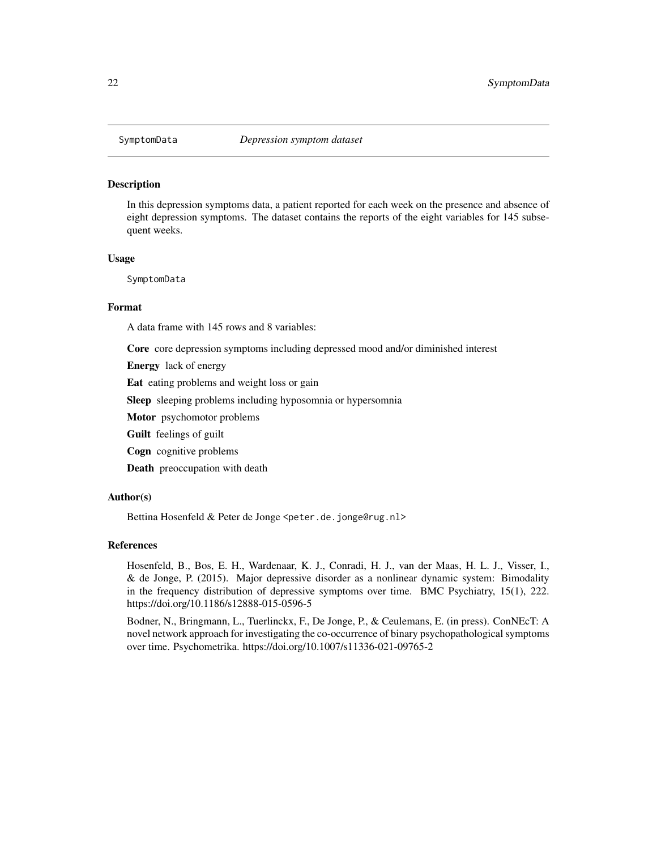<span id="page-21-0"></span>

In this depression symptoms data, a patient reported for each week on the presence and absence of eight depression symptoms. The dataset contains the reports of the eight variables for 145 subsequent weeks.

#### Usage

SymptomData

#### Format

A data frame with 145 rows and 8 variables:

Core core depression symptoms including depressed mood and/or diminished interest

Energy lack of energy

Eat eating problems and weight loss or gain

Sleep sleeping problems including hyposomnia or hypersomnia

Motor psychomotor problems

Guilt feelings of guilt

Cogn cognitive problems

Death preoccupation with death

#### Author(s)

Bettina Hosenfeld & Peter de Jonge <peter.de.jonge@rug.nl>

#### References

Hosenfeld, B., Bos, E. H., Wardenaar, K. J., Conradi, H. J., van der Maas, H. L. J., Visser, I., & de Jonge, P. (2015). Major depressive disorder as a nonlinear dynamic system: Bimodality in the frequency distribution of depressive symptoms over time. BMC Psychiatry, 15(1), 222. https://doi.org/10.1186/s12888-015-0596-5

Bodner, N., Bringmann, L., Tuerlinckx, F., De Jonge, P., & Ceulemans, E. (in press). ConNEcT: A novel network approach for investigating the co-occurrence of binary psychopathological symptoms over time. Psychometrika. https://doi.org/10.1007/s11336-021-09765-2